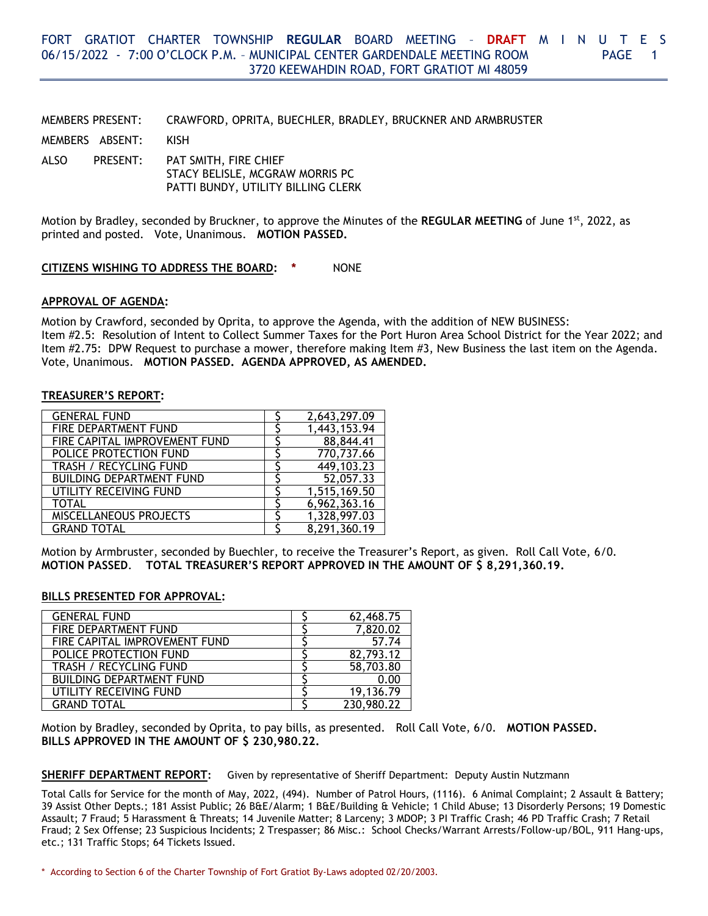MEMBERS PRESENT: CRAWFORD, OPRITA, BUECHLER, BRADLEY, BRUCKNER AND ARMBRUSTER

MEMBERS ABSENT: KISH

ALSO PRESENT: PAT SMITH, FIRE CHIEF STACY BELISLE, MCGRAW MORRIS PC PATTI BUNDY, UTILITY BILLING CLERK

Motion by Bradley, seconded by Bruckner, to approve the Minutes of the **REGULAR MEETING** of June 1<sup>st</sup>, 2022, as printed and posted. Vote, Unanimous. **MOTION PASSED.**

# **CITIZENS WISHING TO ADDRESS THE BOARD: \*** NONE

### **APPROVAL OF AGENDA:**

Motion by Crawford, seconded by Oprita, to approve the Agenda, with the addition of NEW BUSINESS: Item #2.5: Resolution of Intent to Collect Summer Taxes for the Port Huron Area School District for the Year 2022; and Item #2.75: DPW Request to purchase a mower, therefore making Item #3, New Business the last item on the Agenda. Vote, Unanimous. **MOTION PASSED. AGENDA APPROVED, AS AMENDED.**

#### **TREASURER'S REPORT:**

| <b>GENERAL FUND</b>             | 2,643,297.09 |
|---------------------------------|--------------|
| FIRE DEPARTMENT FUND            | 1,443,153.94 |
| FIRE CAPITAL IMPROVEMENT FUND   | 88,844.41    |
| POLICE PROTECTION FUND          | 770,737.66   |
| TRASH / RECYCLING FUND          | 449,103.23   |
| <b>BUILDING DEPARTMENT FUND</b> | 52,057.33    |
| UTILITY RECEIVING FUND          | 1,515,169.50 |
| <b>TOTAL</b>                    | 6,962,363.16 |
| <b>MISCELLANEOUS PROJECTS</b>   | 1,328,997.03 |
| <b>GRAND TOTAL</b>              | 8,291,360.19 |

Motion by Armbruster, seconded by Buechler, to receive the Treasurer's Report, as given. Roll Call Vote, 6/0. **MOTION PASSED**. **TOTAL TREASURER'S REPORT APPROVED IN THE AMOUNT OF \$ 8,291,360.19.** 

#### **BILLS PRESENTED FOR APPROVAL:**

| <b>GENERAL FUND</b>             | 62,468.75  |
|---------------------------------|------------|
| FIRE DEPARTMENT FUND            | 7,820.02   |
| FIRE CAPITAL IMPROVEMENT FUND   | 57.74      |
| POLICE PROTECTION FUND          | 82,793.12  |
| TRASH / RECYCLING FUND          | 58,703.80  |
| <b>BUILDING DEPARTMENT FUND</b> | 0.00       |
| UTILITY RECEIVING FUND          | 19,136.79  |
| GRAND TOTAL                     | 230,980.22 |

Motion by Bradley, seconded by Oprita, to pay bills, as presented. Roll Call Vote, 6/0. **MOTION PASSED. BILLS APPROVED IN THE AMOUNT OF \$ 230,980.22.**

**SHERIFF DEPARTMENT REPORT:** Given by representative of Sheriff Department: Deputy Austin Nutzmann

Total Calls for Service for the month of May, 2022, (494). Number of Patrol Hours, (1116). 6 Animal Complaint; 2 Assault & Battery; 39 Assist Other Depts.; 181 Assist Public; 26 B&E/Alarm; 1 B&E/Building & Vehicle; 1 Child Abuse; 13 Disorderly Persons; 19 Domestic Assault; 7 Fraud; 5 Harassment & Threats; 14 Juvenile Matter; 8 Larceny; 3 MDOP; 3 PI Traffic Crash; 46 PD Traffic Crash; 7 Retail Fraud; 2 Sex Offense; 23 Suspicious Incidents; 2 Trespasser; 86 Misc.: School Checks/Warrant Arrests/Follow-up/BOL, 911 Hang-ups, etc.; 131 Traffic Stops; 64 Tickets Issued.

\* According to Section 6 of the Charter Township of Fort Gratiot By-Laws adopted 02/20/2003.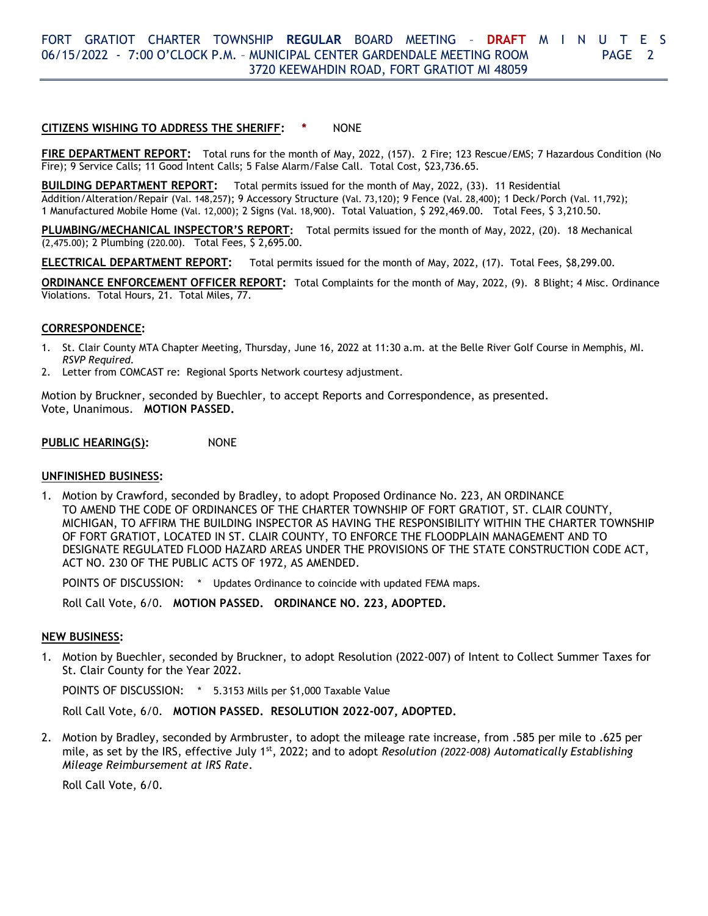# **CITIZENS WISHING TO ADDRESS THE SHERIFF: \*** NONE

**FIRE DEPARTMENT REPORT:** Total runs for the month of May, 2022, (157). 2 Fire; 123 Rescue/EMS; 7 Hazardous Condition (No Fire); 9 Service Calls; 11 Good Intent Calls; 5 False Alarm/False Call. Total Cost, \$23,736.65.

**BUILDING DEPARTMENT REPORT:** Total permits issued for the month of May, 2022, (33). 11 Residential Addition/Alteration/Repair (Val. 148,257); 9 Accessory Structure (Val. 73,120); 9 Fence (Val. 28,400); 1 Deck/Porch (Val. 11,792); 1 Manufactured Mobile Home (Val. 12,000); 2 Signs (Val. 18,900). Total Valuation, \$ 292,469.00. Total Fees, \$ 3,210.50.

**PLUMBING/MECHANICAL INSPECTOR'S REPORT:** Total permits issued for the month of May, 2022, (20). 18 Mechanical (2,475.00); 2 Plumbing (220.00). Total Fees, \$ 2,695.00.

**ELECTRICAL DEPARTMENT REPORT:** Total permits issued for the month of May, 2022, (17). Total Fees, \$8,299.00.

**ORDINANCE ENFORCEMENT OFFICER REPORT:** Total Complaints for the month of May, 2022, (9). 8 Blight; 4 Misc. Ordinance Violations. Total Hours, 21. Total Miles, 77.

# **CORRESPONDENCE:**

- 1. St. Clair County MTA Chapter Meeting, Thursday, June 16, 2022 at 11:30 a.m. at the Belle River Golf Course in Memphis, MI. *RSVP Required.*
- 2. Letter from COMCAST re: Regional Sports Network courtesy adjustment.

Motion by Bruckner, seconded by Buechler, to accept Reports and Correspondence, as presented. Vote, Unanimous. **MOTION PASSED.**

**PUBLIC HEARING(S):** NONE

#### **UNFINISHED BUSINESS:**

1. Motion by Crawford, seconded by Bradley, to adopt Proposed Ordinance No. 223, AN ORDINANCE TO AMEND THE CODE OF ORDINANCES OF THE CHARTER TOWNSHIP OF FORT GRATIOT, ST. CLAIR COUNTY, MICHIGAN, TO AFFIRM THE BUILDING INSPECTOR AS HAVING THE RESPONSIBILITY WITHIN THE CHARTER TOWNSHIP OF FORT GRATIOT, LOCATED IN ST. CLAIR COUNTY, TO ENFORCE THE FLOODPLAIN MANAGEMENT AND TO DESIGNATE REGULATED FLOOD HAZARD AREAS UNDER THE PROVISIONS OF THE STATE CONSTRUCTION CODE ACT, ACT NO. 230 OF THE PUBLIC ACTS OF 1972, AS AMENDED.

POINTS OF DISCUSSION: \* Updates Ordinance to coincide with updated FEMA maps.

Roll Call Vote, 6/0. **MOTION PASSED. ORDINANCE NO. 223, ADOPTED.**

# **NEW BUSINESS:**

1. Motion by Buechler, seconded by Bruckner, to adopt Resolution (2022-007) of Intent to Collect Summer Taxes for St. Clair County for the Year 2022.

POINTS OF DISCUSSION: \* 5.3153 Mills per \$1,000 Taxable Value

Roll Call Vote, 6/0. **MOTION PASSED. RESOLUTION 2022-007, ADOPTED.**

2. Motion by Bradley, seconded by Armbruster, to adopt the mileage rate increase, from .585 per mile to .625 per mile, as set by the IRS, effective July 1st, 2022; and to adopt *Resolution (2022-008) Automatically Establishing Mileage Reimbursement at IRS Rate*.

Roll Call Vote, 6/0.